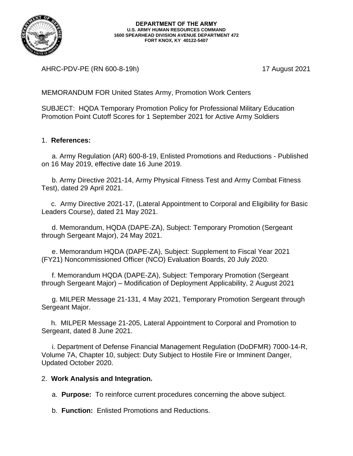

AHRC-PDV-PE (RN 600-8-19h) 17 August 2021

MEMORANDUM FOR United States Army, Promotion Work Centers

SUBJECT: HQDA Temporary Promotion Policy for Professional Military Education Promotion Point Cutoff Scores for 1 September 2021 for Active Army Soldiers

### 1. **References:**

a. Army Regulation (AR) 600-8-19, Enlisted Promotions and Reductions - Published on 16 May 2019, effective date 16 June 2019.

b. Army Directive 2021-14, Army Physical Fitness Test and Army Combat Fitness Test), dated 29 April 2021.

c. Army Directive 2021-17, (Lateral Appointment to Corporal and Eligibility for Basic Leaders Course), dated 21 May 2021.

d. Memorandum, HQDA (DAPE-ZA), Subject: Temporary Promotion (Sergeant through Sergeant Major), 24 May 2021.

e. Memorandum HQDA (DAPE-ZA), Subject: Supplement to Fiscal Year 2021 (FY21) Noncommissioned Officer (NCO) Evaluation Boards, 20 July 2020.

f. Memorandum HQDA (DAPE-ZA), Subject: Temporary Promotion (Sergeant through Sergeant Major) – Modification of Deployment Applicability, 2 August 2021

g. MILPER Message 21-131, 4 May 2021, Temporary Promotion Sergeant through Sergeant Major.

h. MILPER Message 21-205, Lateral Appointment to Corporal and Promotion to Sergeant, dated 8 June 2021.

i. Department of Defense Financial Management Regulation (DoDFMR) 7000-14-R, Volume 7A, Chapter 10, subject: Duty Subject to Hostile Fire or Imminent Danger, Updated October 2020.

#### 2. **Work Analysis and Integration.**

a. **Purpose:** To reinforce current procedures concerning the above subject.

b. **Function:** Enlisted Promotions and Reductions.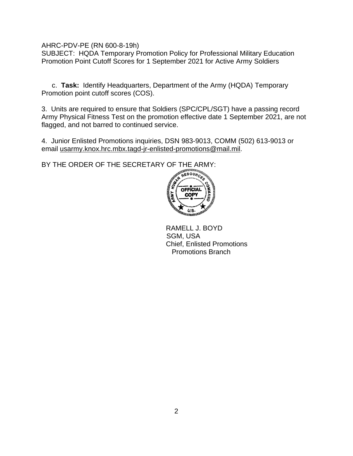SUBJECT: HQDA Temporary Promotion Policy for Professional Military Education Promotion Point Cutoff Scores for 1 September 2021 for Active Army Soldiers

c. **Task:** Identify Headquarters, Department of the Army (HQDA) Temporary Promotion point cutoff scores (COS).

3. Units are required to ensure that Soldiers (SPC/CPL/SGT) have a passing record Army Physical Fitness Test on the promotion effective date 1 September 2021, are not flagged, and not barred to continued service.

4. Junior Enlisted Promotions inquiries, DSN 983-9013, COMM (502) 613-9013 or email [usarmy.knox.hrc.mbx.tagd-jr-enlisted-promotions@mail.mil.](mailto:usarmy.knox.hrc.mbx.tagd-jr-enlisted-promotions@mail.mil)

BY THE ORDER OF THE SECRETARY OF THE ARMY:



RAMELL J. BOYD SGM, USA Chief, Enlisted Promotions Promotions Branch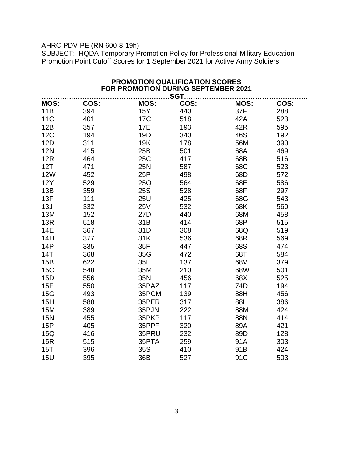SUBJECT: HQDA Temporary Promotion Policy for Professional Military Education Promotion Point Cutoff Scores for 1 September 2021 for Active Army Soldiers

| FOR PROMOTION DURING SEPTEMBER 2021<br>.SGT…… |      |                 |      |             |      |  |  |  |  |
|-----------------------------------------------|------|-----------------|------|-------------|------|--|--|--|--|
| <b>MOS:</b>                                   | COS: | MOS:            | COS: | <b>MOS:</b> | COS: |  |  |  |  |
| 11B                                           | 394  | <b>15Y</b>      | 440  | 37F         | 288  |  |  |  |  |
| <b>11C</b>                                    | 401  | 17 <sub>C</sub> | 518  | 42A         | 523  |  |  |  |  |
| 12B                                           | 357  | 17E             | 193  | 42R         | 595  |  |  |  |  |
| 12C                                           | 194  | 19D             | 340  | 46S         | 192  |  |  |  |  |
| 12D                                           | 311  | 19K             | 178  | 56M         | 390  |  |  |  |  |
| <b>12N</b>                                    | 415  | 25B             | 501  | 68A         | 469  |  |  |  |  |
| 12R                                           | 464  | 25C             | 417  | 68B         | 516  |  |  |  |  |
| 12T                                           | 471  | 25N             | 587  | 68C         | 523  |  |  |  |  |
| <b>12W</b>                                    | 452  | 25P             | 498  | 68D         | 572  |  |  |  |  |
| <b>12Y</b>                                    | 529  | 25Q             | 564  | 68E         | 586  |  |  |  |  |
| 13B                                           | 359  | 25S             | 528  | 68F         | 297  |  |  |  |  |
| 13F                                           | 111  | <b>25U</b>      | 425  | 68G         | 543  |  |  |  |  |
| 13J                                           | 332  | <b>25V</b>      | 532  | 68K         | 560  |  |  |  |  |
| 13M                                           | 152  | 27D             | 440  | 68M         | 458  |  |  |  |  |
| 13R                                           | 518  | 31B             | 414  | 68P         | 515  |  |  |  |  |
| 14E                                           | 367  | 31D             | 308  | 68Q         | 519  |  |  |  |  |
| 14H                                           | 377  | 31K             | 536  | 68R         | 569  |  |  |  |  |
| 14P                                           | 335  | 35F             | 447  | 68S         | 474  |  |  |  |  |
| 14T                                           | 368  | 35G             | 472  | 68T         | 584  |  |  |  |  |
| 15B                                           | 622  | 35L             | 137  | 68V         | 379  |  |  |  |  |
| <b>15C</b>                                    | 548  | 35M             | 210  | 68W         | 501  |  |  |  |  |
| 15D                                           | 556  | 35N             | 456  | 68X         | 525  |  |  |  |  |
| 15F                                           | 550  | 35PAZ           | 117  | 74D         | 194  |  |  |  |  |
| 15G                                           | 493  | 35PCM           | 139  | 88H         | 456  |  |  |  |  |
| 15H                                           | 588  | 35PFR           | 317  | 88L         | 386  |  |  |  |  |
| 15M                                           | 389  | 35PJN           | 222  | 88M         | 424  |  |  |  |  |
| <b>15N</b>                                    | 455  | 35PKP           | 117  | 88N         | 414  |  |  |  |  |
| 15P                                           | 405  | 35PPF           | 320  | 89A         | 421  |  |  |  |  |
| 15Q                                           | 416  | 35PRU           | 232  | 89D         | 128  |  |  |  |  |
| 15R                                           | 515  | 35PTA           | 259  | 91A         | 303  |  |  |  |  |
| 15T                                           | 396  | 35S             | 410  | 91B         | 424  |  |  |  |  |
| <b>15U</b>                                    | 395  | 36B             | 527  | 91C         | 503  |  |  |  |  |

#### **PROMOTION QUALIFICATION SCORES FOR PROMOTION DURING SEPTEMBER 2021**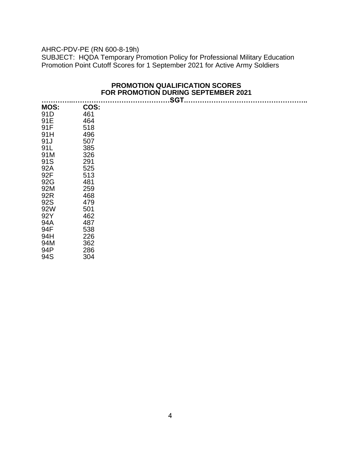SUBJECT: HQDA Temporary Promotion Policy for Professional Military Education Promotion Point Cutoff Scores for 1 September 2021 for Active Army Soldiers

### **PROMOTION QUALIFICATION SCORES FOR PROMOTION DURING SEPTEMBER 2021**

| SGT.       |            |  |  |  |  |  |  |
|------------|------------|--|--|--|--|--|--|
| MOS:       | COS:       |  |  |  |  |  |  |
| 91D        | 461        |  |  |  |  |  |  |
| 91E        | 464        |  |  |  |  |  |  |
| 91F        | 518        |  |  |  |  |  |  |
| 91H        | 496        |  |  |  |  |  |  |
| 91J        | 507        |  |  |  |  |  |  |
| 91L        | 385        |  |  |  |  |  |  |
| 91M        | 326        |  |  |  |  |  |  |
| 91S        | 291        |  |  |  |  |  |  |
| 92A        | 525        |  |  |  |  |  |  |
| 92F        | 513        |  |  |  |  |  |  |
| 92G        | 481        |  |  |  |  |  |  |
| 92M        | 259        |  |  |  |  |  |  |
| 92R        | 468        |  |  |  |  |  |  |
| 92S        | 479        |  |  |  |  |  |  |
| 92W        | 501        |  |  |  |  |  |  |
| 92Y        | 462        |  |  |  |  |  |  |
| 94A<br>94F | 487        |  |  |  |  |  |  |
| 94H        | 538<br>226 |  |  |  |  |  |  |
| 94M        | 362        |  |  |  |  |  |  |
|            |            |  |  |  |  |  |  |
|            |            |  |  |  |  |  |  |
| 94P<br>94S | 286<br>304 |  |  |  |  |  |  |